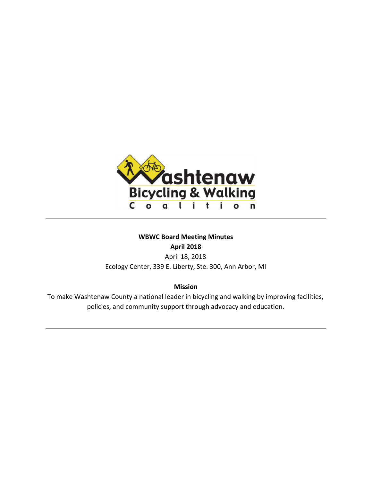

# **WBWC Board Meeting Minutes April 2018**

April 18, 2018 Ecology Center, 339 E. Liberty, Ste. 300, Ann Arbor, MI

**Mission**

To make Washtenaw County a national leader in bicycling and walking by improving facilities, policies, and community support through advocacy and education.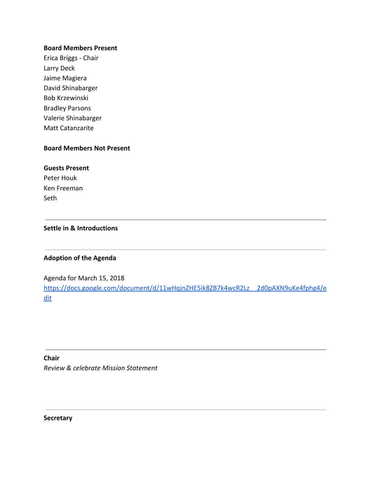### **Board Members Present**

Erica Briggs - Chair Larry Deck Jaime Magiera David Shinabarger Bob Krzewinski Bradley Parsons Valerie Shinabarger Matt Catanzarite

# **Board Members Not Present**

### **Guests Present**

Peter Houk Ken Freeman Seth

# **Settle in & Introductions**

## **Adoption of the Agenda**

Agenda for March 15, 2018 [https://docs.google.com/document/d/11wHqjnZHE5ik8ZB7k4wcR2Lz\\_\\_2d0pAXN9uKe4fphg4/e](https://docs.google.com/document/d/11wHqjnZHE5ik8ZB7k4wcR2Lz__2d0pAXN9uKe4fphg4/edit) [dit](https://docs.google.com/document/d/11wHqjnZHE5ik8ZB7k4wcR2Lz__2d0pAXN9uKe4fphg4/edit)

**Chair** *Review & celebrate Mission Statement*

**Secretary**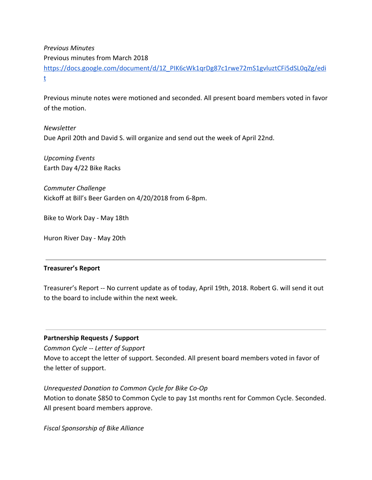*Previous Minutes* Previous minutes from March 2018 [https://docs.google.com/document/d/1Z\\_PIK6cWk1qrDg87c1rwe72mS1gvluztCFi5dSL0qZg/edi](https://docs.google.com/document/d/1Z_PIK6cWk1qrDg87c1rwe72mS1gvluztCFi5dSL0qZg/edit) [t](https://docs.google.com/document/d/1Z_PIK6cWk1qrDg87c1rwe72mS1gvluztCFi5dSL0qZg/edit)

Previous minute notes were motioned and seconded. All present board members voted in favor of the motion.

*Newsletter* Due April 20th and David S. will organize and send out the week of April 22nd.

*Upcoming Events* Earth Day 4/22 Bike Racks

*Commuter Challenge* Kickoff at Bill's Beer Garden on 4/20/2018 from 6-8pm.

Bike to Work Day - May 18th

Huron River Day - May 20th

## **Treasurer's Report**

Treasurer's Report -- No current update as of today, April 19th, 2018. Robert G. will send it out to the board to include within the next week.

# **Partnership Requests / Support**

*Common Cycle -- Letter of Support*

Move to accept the letter of support. Seconded. All present board members voted in favor of the letter of support.

*Unrequested Donation to Common Cycle for Bike Co-Op* Motion to donate \$850 to Common Cycle to pay 1st months rent for Common Cycle. Seconded. All present board members approve.

*Fiscal Sponsorship of Bike Alliance*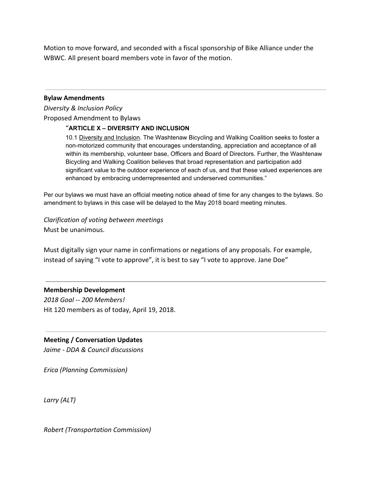Motion to move forward, and seconded with a fiscal sponsorship of Bike Alliance under the WBWC. All present board members vote in favor of the motion.

#### **Bylaw Amendments**

*Diversity & Inclusion Policy* Proposed Amendment to Bylaws

#### "**ARTICLE X – DIVERSITY AND INCLUSION**

10.1 Diversity and Inclusion. The Washtenaw Bicycling and Walking Coalition seeks to foster a non-motorized community that encourages understanding, appreciation and acceptance of all within its membership, volunteer base, Officers and Board of Directors. Further, the Washtenaw Bicycling and Walking Coalition believes that broad representation and participation add significant value to the outdoor experience of each of us, and that these valued experiences are enhanced by embracing underrepresented and underserved communities."

Per our bylaws we must have an official meeting notice ahead of time for any changes to the bylaws. So amendment to bylaws in this case will be delayed to the May 2018 board meeting minutes.

*Clarification of voting between meetings* Must be unanimous.

Must digitally sign your name in confirmations or negations of any proposals. For example, instead of saying "I vote to approve", it is best to say "I vote to approve. Jane Doe"

### **Membership Development**

*2018 Goal -- 200 Members!* Hit 120 members as of today, April 19, 2018.

## **Meeting / Conversation Updates**

*Jaime - DDA & Council discussions*

*Erica (Planning Commission)*

*Larry (ALT)*

*Robert (Transportation Commission)*